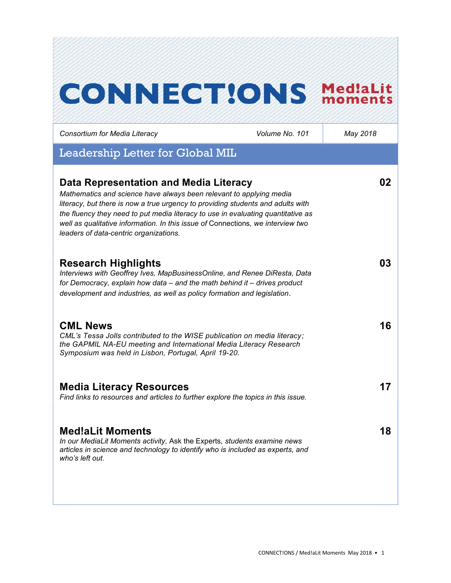# **CONNECT!ONS Med!aLit**

*Consortium for Media Literacy Volume No. 101 May 2018*

## Leadership Letter for Global MIL

| Data Representation and Media Literacy<br>Mathematics and science have always been relevant to applying media<br>literacy, but there is now a true urgency to providing students and adults with<br>the fluency they need to put media literacy to use in evaluating quantitative as<br>well as qualitative information. In this issue of Connections, we interview two<br>leaders of data-centric organizations. | 02 |
|-------------------------------------------------------------------------------------------------------------------------------------------------------------------------------------------------------------------------------------------------------------------------------------------------------------------------------------------------------------------------------------------------------------------|----|
| <b>Research Highlights</b><br>Interviews with Geoffrey Ives, MapBusinessOnline, and Renee DiResta, Data<br>for Democracy, explain how data - and the math behind it - drives product<br>development and industries, as well as policy formation and legislation.                                                                                                                                                  | 03 |
| <b>CML News</b><br>CML's Tessa Jolls contributed to the WISE publication on media literacy;<br>the GAPMIL NA-EU meeting and International Media Literacy Research<br>Symposium was held in Lisbon, Portugal, April 19-20.                                                                                                                                                                                         | 16 |
| <b>Media Literacy Resources</b><br>Find links to resources and articles to further explore the topics in this issue.                                                                                                                                                                                                                                                                                              | 17 |
| <b>Med!aLit Moments</b><br>In our MediaLit Moments activity, Ask the Experts, students examine news<br>articles in science and technology to identify who is included as experts, and<br>who's left out.                                                                                                                                                                                                          | 18 |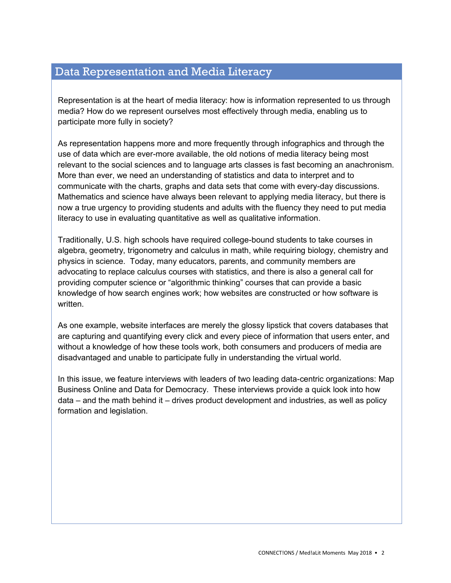## Data Representation and Media Literacy

Representation is at the heart of media literacy: how is information represented to us through media? How do we represent ourselves most effectively through media, enabling us to participate more fully in society?

As representation happens more and more frequently through infographics and through the use of data which are ever-more available, the old notions of media literacy being most relevant to the social sciences and to language arts classes is fast becoming an anachronism. More than ever, we need an understanding of statistics and data to interpret and to communicate with the charts, graphs and data sets that come with every-day discussions. Mathematics and science have always been relevant to applying media literacy, but there is now a true urgency to providing students and adults with the fluency they need to put media literacy to use in evaluating quantitative as well as qualitative information.

Traditionally, U.S. high schools have required college-bound students to take courses in algebra, geometry, trigonometry and calculus in math, while requiring biology, chemistry and physics in science. Today, many educators, parents, and community members are advocating to replace calculus courses with statistics, and there is also a general call for providing computer science or "algorithmic thinking" courses that can provide a basic knowledge of how search engines work; how websites are constructed or how software is written.

As one example, website interfaces are merely the glossy lipstick that covers databases that are capturing and quantifying every click and every piece of information that users enter, and without a knowledge of how these tools work, both consumers and producers of media are disadvantaged and unable to participate fully in understanding the virtual world.

In this issue, we feature interviews with leaders of two leading data-centric organizations: Map Business Online and Data for Democracy. These interviews provide a quick look into how data – and the math behind it – drives product development and industries, as well as policy formation and legislation.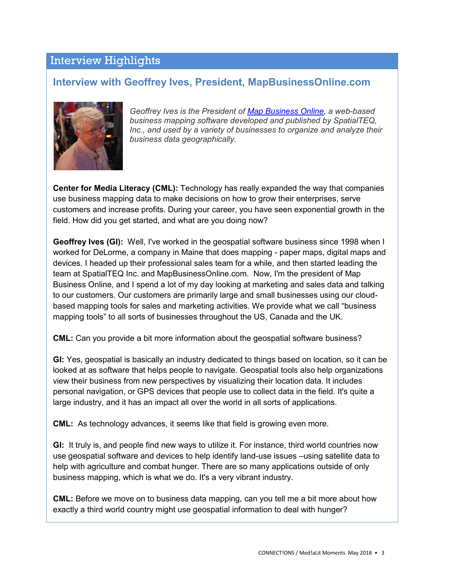## Interview Highlights

### **Interview with Geoffrey Ives, President, MapBusinessOnline.com**



*Geoffrey Ives is the President of [Map Business Online,](https://www.mapbusinessonline.com/) a web-based business mapping software developed and published by SpatialTEQ, Inc., and used by a variety of businesses to organize and analyze their business data geographically.*

**Center for Media Literacy (CML):** Technology has really expanded the way that companies use business mapping data to make decisions on how to grow their enterprises, serve customers and increase profits. During your career, you have seen exponential growth in the field. How did you get started, and what are you doing now?

**Geoffrey Ives (GI):** Well, I've worked in the geospatial software business since 1998 when I worked for DeLorme, a company in Maine that does mapping - paper maps, digital maps and devices. I headed up their professional sales team for a while, and then started leading the team at SpatialTEQ Inc. and MapBusinessOnline.com. Now, I'm the president of Map Business Online, and I spend a lot of my day looking at marketing and sales data and talking to our customers. Our customers are primarily large and small businesses using our cloudbased mapping tools for sales and marketing activities. We provide what we call "business mapping tools" to all sorts of businesses throughout the US, Canada and the UK.

**CML:** Can you provide a bit more information about the geospatial software business?

**GI:** Yes, geospatial is basically an industry dedicated to things based on location, so it can be looked at as software that helps people to navigate. Geospatial tools also help organizations view their business from new perspectives by visualizing their location data. It includes personal navigation, or GPS devices that people use to collect data in the field. It's quite a large industry, and it has an impact all over the world in all sorts of applications.

**CML:** As technology advances, it seems like that field is growing even more.

**GI:** It truly is, and people find new ways to utilize it. For instance, third world countries now use geospatial software and devices to help identify land-use issues –using satellite data to help with agriculture and combat hunger. There are so many applications outside of only business mapping, which is what we do. It's a very vibrant industry.

**CML:** Before we move on to business data mapping, can you tell me a bit more about how exactly a third world country might use geospatial information to deal with hunger?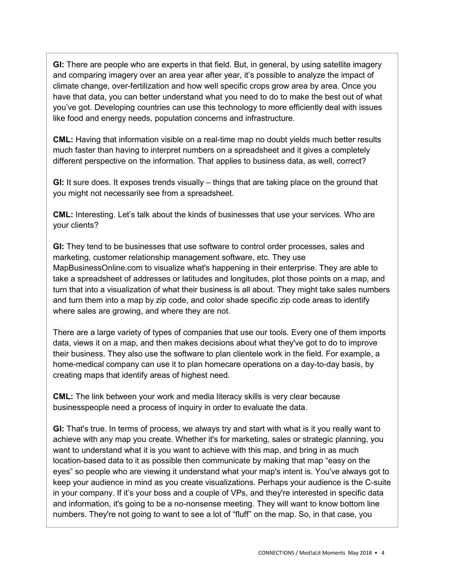**GI:** There are people who are experts in that field. But, in general, by using satellite imagery and comparing imagery over an area year after year, it's possible to analyze the impact of climate change, over-fertilization and how well specific crops grow area by area. Once you have that data, you can better understand what you need to do to make the best out of what you've got. Developing countries can use this technology to more efficiently deal with issues like food and energy needs, population concerns and infrastructure.

**CML:** Having that information visible on a real-time map no doubt yields much better results much faster than having to interpret numbers on a spreadsheet and it gives a completely different perspective on the information. That applies to business data, as well, correct?

**GI:** It sure does. It exposes trends visually – things that are taking place on the ground that you might not necessarily see from a spreadsheet.

**CML:** Interesting. Let's talk about the kinds of businesses that use your services. Who are your clients?

**GI:** They tend to be businesses that use software to control order processes, sales and marketing, customer relationship management software, etc. They use MapBusinessOnline.com to visualize what's happening in their enterprise. They are able to take a spreadsheet of addresses or latitudes and longitudes, plot those points on a map, and turn that into a visualization of what their business is all about. They might take sales numbers and turn them into a map by zip code, and color shade specific zip code areas to identify where sales are growing, and where they are not.

There are a large variety of types of companies that use our tools. Every one of them imports data, views it on a map, and then makes decisions about what they've got to do to improve their business. They also use the software to plan clientele work in the field. For example, a home-medical company can use it to plan homecare operations on a day-to-day basis, by creating maps that identify areas of highest need.

**CML:** The link between your work and media literacy skills is very clear because businesspeople need a process of inquiry in order to evaluate the data.

**GI:** That's true. In terms of process, we always try and start with what is it you really want to achieve with any map you create. Whether it's for marketing, sales or strategic planning, you want to understand what it is you want to achieve with this map, and bring in as much location-based data to it as possible then communicate by making that map "easy on the eyes" so people who are viewing it understand what your map's intent is. You've always got to keep your audience in mind as you create visualizations. Perhaps your audience is the C-suite in your company. If it's your boss and a couple of VPs, and they're interested in specific data and information, it's going to be a no-nonsense meeting. They will want to know bottom line numbers. They're not going to want to see a lot of "fluff" on the map. So, in that case, you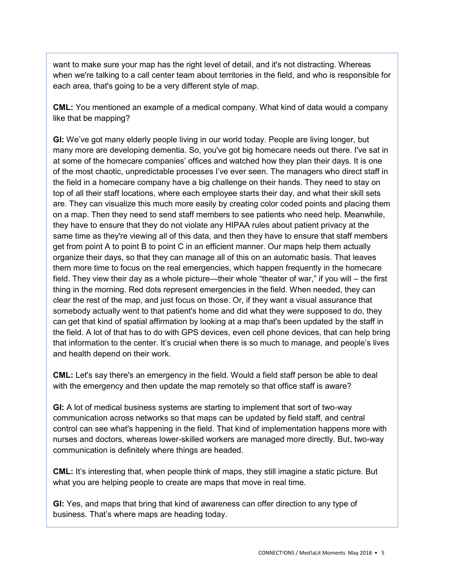want to make sure your map has the right level of detail, and it's not distracting. Whereas when we're talking to a call center team about territories in the field, and who is responsible for each area, that's going to be a very different style of map.

**CML:** You mentioned an example of a medical company. What kind of data would a company like that be mapping?

**GI:** We've got many elderly people living in our world today. People are living longer, but many more are developing dementia. So, you've got big homecare needs out there. I've sat in at some of the homecare companies' offices and watched how they plan their days. It is one of the most chaotic, unpredictable processes I've ever seen. The managers who direct staff in the field in a homecare company have a big challenge on their hands. They need to stay on top of all their staff locations, where each employee starts their day, and what their skill sets are. They can visualize this much more easily by creating color coded points and placing them on a map. Then they need to send staff members to see patients who need help. Meanwhile, they have to ensure that they do not violate any HIPAA rules about patient privacy at the same time as they're viewing all of this data, and then they have to ensure that staff members get from point A to point B to point C in an efficient manner. Our maps help them actually organize their days, so that they can manage all of this on an automatic basis. That leaves them more time to focus on the real emergencies, which happen frequently in the homecare field. They view their day as a whole picture—their whole "theater of war," if you will – the first thing in the morning. Red dots represent emergencies in the field. When needed, they can clear the rest of the map, and just focus on those. Or, if they want a visual assurance that somebody actually went to that patient's home and did what they were supposed to do, they can get that kind of spatial affirmation by looking at a map that's been updated by the staff in the field. A lot of that has to do with GPS devices, even cell phone devices, that can help bring that information to the center. It's crucial when there is so much to manage, and people's lives and health depend on their work.

**CML:** Let's say there's an emergency in the field. Would a field staff person be able to deal with the emergency and then update the map remotely so that office staff is aware?

**GI:** A lot of medical business systems are starting to implement that sort of two-way communication across networks so that maps can be updated by field staff, and central control can see what's happening in the field. That kind of implementation happens more with nurses and doctors, whereas lower-skilled workers are managed more directly. But, two-way communication is definitely where things are headed.

**CML:** It's interesting that, when people think of maps, they still imagine a static picture. But what you are helping people to create are maps that move in real time.

**GI:** Yes, and maps that bring that kind of awareness can offer direction to any type of business. That's where maps are heading today.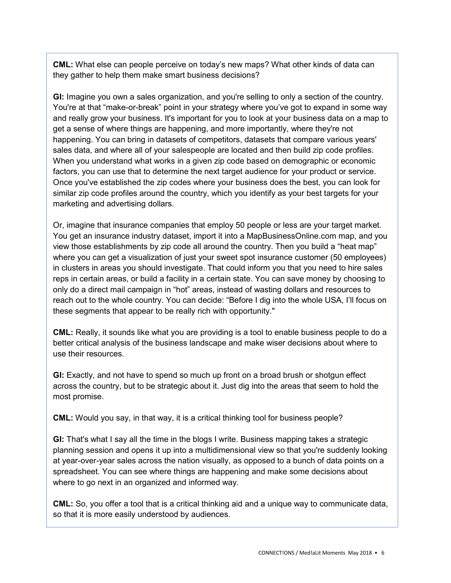**CML:** What else can people perceive on today's new maps? What other kinds of data can they gather to help them make smart business decisions?

**GI:** Imagine you own a sales organization, and you're selling to only a section of the country. You're at that "make-or-break" point in your strategy where you've got to expand in some way and really grow your business. It's important for you to look at your business data on a map to get a sense of where things are happening, and more importantly, where they're not happening. You can bring in datasets of competitors, datasets that compare various years' sales data, and where all of your salespeople are located and then build zip code profiles. When you understand what works in a given zip code based on demographic or economic factors, you can use that to determine the next target audience for your product or service. Once you've established the zip codes where your business does the best, you can look for similar zip code profiles around the country, which you identify as your best targets for your marketing and advertising dollars.

Or, imagine that insurance companies that employ 50 people or less are your target market. You get an insurance industry dataset, import it into a MapBusinessOnline.com map, and you view those establishments by zip code all around the country. Then you build a "heat map" where you can get a visualization of just your sweet spot insurance customer (50 employees) in clusters in areas you should investigate. That could inform you that you need to hire sales reps in certain areas, or build a facility in a certain state. You can save money by choosing to only do a direct mail campaign in "hot" areas, instead of wasting dollars and resources to reach out to the whole country. You can decide: "Before I dig into the whole USA, I'll focus on these segments that appear to be really rich with opportunity."

**CML:** Really, it sounds like what you are providing is a tool to enable business people to do a better critical analysis of the business landscape and make wiser decisions about where to use their resources.

**GI:** Exactly, and not have to spend so much up front on a broad brush or shotgun effect across the country, but to be strategic about it. Just dig into the areas that seem to hold the most promise.

**CML:** Would you say, in that way, it is a critical thinking tool for business people?

**GI:** That's what I say all the time in the blogs I write. Business mapping takes a strategic planning session and opens it up into a multidimensional view so that you're suddenly looking at year-over-year sales across the nation visually, as opposed to a bunch of data points on a spreadsheet. You can see where things are happening and make some decisions about where to go next in an organized and informed way.

**CML:** So, you offer a tool that is a critical thinking aid and a unique way to communicate data, so that it is more easily understood by audiences.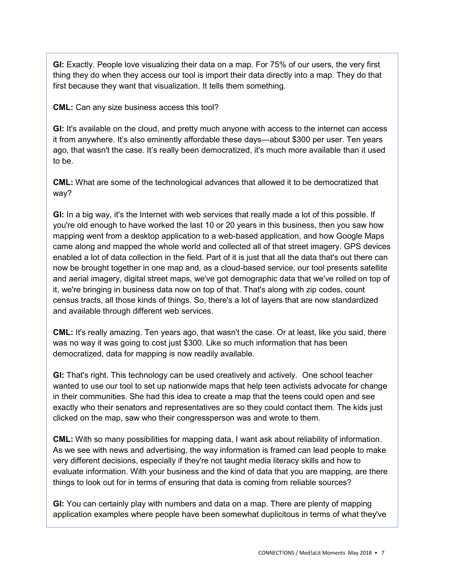**GI:** Exactly. People love visualizing their data on a map. For 75% of our users, the very first thing they do when they access our tool is import their data directly into a map. They do that first because they want that visualization. It tells them something.

**CML:** Can any size business access this tool?

**GI:** It's available on the cloud, and pretty much anyone with access to the internet can access it from anywhere. It's also eminently affordable these days—about \$300 per user. Ten years ago, that wasn't the case. It's really been democratized, it's much more available than it used to be.

**CML:** What are some of the technological advances that allowed it to be democratized that way?

**GI:** In a big way, it's the Internet with web services that really made a lot of this possible. If you're old enough to have worked the last 10 or 20 years in this business, then you saw how mapping went from a desktop application to a web-based application, and how Google Maps came along and mapped the whole world and collected all of that street imagery. GPS devices enabled a lot of data collection in the field. Part of it is just that all the data that's out there can now be brought together in one map and, as a cloud-based service, our tool presents satellite and aerial imagery, digital street maps, we've got demographic data that we've rolled on top of it, we're bringing in business data now on top of that. That's along with zip codes, count census tracts, all those kinds of things. So, there's a lot of layers that are now standardized and available through different web services.

**CML:** It's really amazing. Ten years ago, that wasn't the case. Or at least, like you said, there was no way it was going to cost just \$300. Like so much information that has been democratized, data for mapping is now readily available.

**GI:** That's right. This technology can be used creatively and actively. One school teacher wanted to use our tool to set up nationwide maps that help teen activists advocate for change in their communities. She had this idea to create a map that the teens could open and see exactly who their senators and representatives are so they could contact them. The kids just clicked on the map, saw who their congressperson was and wrote to them.

**CML:** With so many possibilities for mapping data, I want ask about reliability of information. As we see with news and advertising, the way information is framed can lead people to make very different decisions, especially if they're not taught media literacy skills and how to evaluate information. With your business and the kind of data that you are mapping, are there things to look out for in terms of ensuring that data is coming from reliable sources?

**GI:** You can certainly play with numbers and data on a map. There are plenty of mapping application examples where people have been somewhat duplicitous in terms of what they've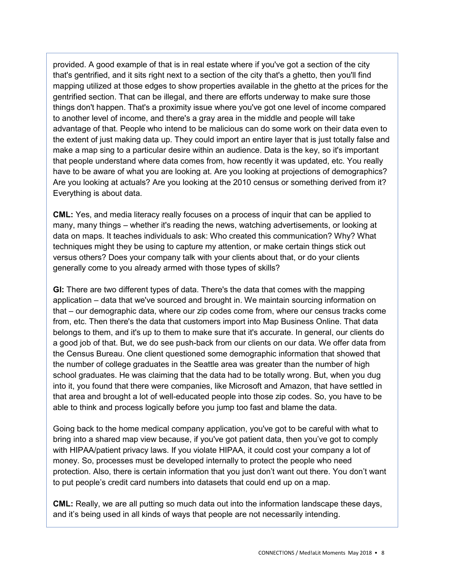provided. A good example of that is in real estate where if you've got a section of the city that's gentrified, and it sits right next to a section of the city that's a ghetto, then you'll find mapping utilized at those edges to show properties available in the ghetto at the prices for the gentrified section. That can be illegal, and there are efforts underway to make sure those things don't happen. That's a proximity issue where you've got one level of income compared to another level of income, and there's a gray area in the middle and people will take advantage of that. People who intend to be malicious can do some work on their data even to the extent of just making data up. They could import an entire layer that is just totally false and make a map sing to a particular desire within an audience. Data is the key, so it's important that people understand where data comes from, how recently it was updated, etc. You really have to be aware of what you are looking at. Are you looking at projections of demographics? Are you looking at actuals? Are you looking at the 2010 census or something derived from it? Everything is about data.

**CML:** Yes, and media literacy really focuses on a process of inquir that can be applied to many, many things – whether it's reading the news, watching advertisements, or looking at data on maps. It teaches individuals to ask: Who created this communication? Why? What techniques might they be using to capture my attention, or make certain things stick out versus others? Does your company talk with your clients about that, or do your clients generally come to you already armed with those types of skills?

**GI:** There are two different types of data. There's the data that comes with the mapping application – data that we've sourced and brought in. We maintain sourcing information on that – our demographic data, where our zip codes come from, where our census tracks come from, etc. Then there's the data that customers import into Map Business Online. That data belongs to them, and it's up to them to make sure that it's accurate. In general, our clients do a good job of that. But, we do see push-back from our clients on our data. We offer data from the Census Bureau. One client questioned some demographic information that showed that the number of college graduates in the Seattle area was greater than the number of high school graduates. He was claiming that the data had to be totally wrong. But, when you dug into it, you found that there were companies, like Microsoft and Amazon, that have settled in that area and brought a lot of well-educated people into those zip codes. So, you have to be able to think and process logically before you jump too fast and blame the data.

Going back to the home medical company application, you've got to be careful with what to bring into a shared map view because, if you've got patient data, then you've got to comply with HIPAA/patient privacy laws. If you violate HIPAA, it could cost your company a lot of money. So, processes must be developed internally to protect the people who need protection. Also, there is certain information that you just don't want out there. You don't want to put people's credit card numbers into datasets that could end up on a map.

**CML:** Really, we are all putting so much data out into the information landscape these days, and it's being used in all kinds of ways that people are not necessarily intending.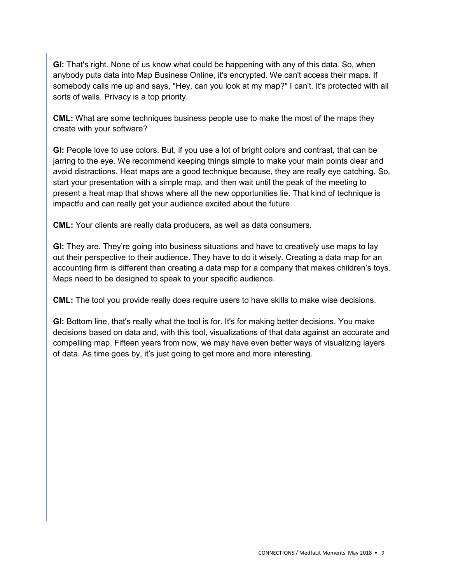**GI:** That's right. None of us know what could be happening with any of this data. So, when anybody puts data into Map Business Online, it's encrypted. We can't access their maps. If somebody calls me up and says, "Hey, can you look at my map?" I can't. It's protected with all sorts of walls. Privacy is a top priority.

**CML:** What are some techniques business people use to make the most of the maps they create with your software?

**GI:** People love to use colors. But, if you use a lot of bright colors and contrast, that can be jarring to the eye. We recommend keeping things simple to make your main points clear and avoid distractions. Heat maps are a good technique because, they are really eye catching. So, start your presentation with a simple map, and then wait until the peak of the meeting to present a heat map that shows where all the new opportunities lie. That kind of technique is impactfu and can really get your audience excited about the future.

**CML:** Your clients are really data producers, as well as data consumers.

**GI:** They are. They're going into business situations and have to creatively use maps to lay out their perspective to their audience. They have to do it wisely. Creating a data map for an accounting firm is different than creating a data map for a company that makes children's toys. Maps need to be designed to speak to your specific audience.

**CML:** The tool you provide really does require users to have skills to make wise decisions.

**GI:** Bottom line, that's really what the tool is for. It's for making better decisions. You make decisions based on data and, with this tool, visualizations of that data against an accurate and compelling map. Fifteen years from now, we may have even better ways of visualizing layers of data. As time goes by, it's just going to get more and more interesting.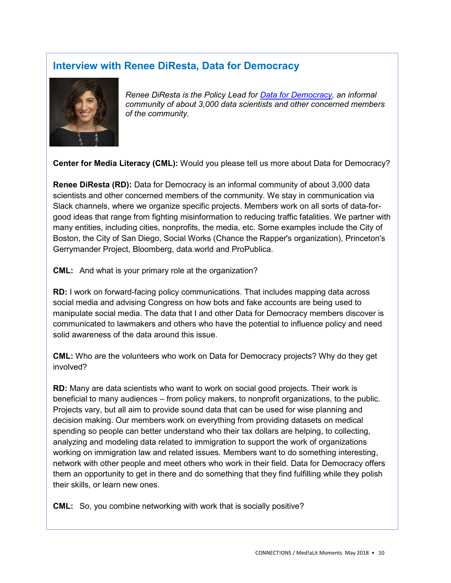## **Interview with Renee DiResta, Data for Democracy**



*Renee DiResta is the Policy Lead for [Data for Democracy,](http://datafordemocracy.org/index.html) an informal community of about 3,000 data scientists and other concerned members of the community.*

**Center for Media Literacy (CML):** Would you please tell us more about Data for Democracy?

**Renee DiResta (RD):** Data for Democracy is an informal community of about 3,000 data scientists and other concerned members of the community. We stay in communication via Slack channels, where we organize specific projects. Members work on all sorts of data-forgood ideas that range from fighting misinformation to reducing traffic fatalities. We partner with many entities, including cities, nonprofits, the media, etc. Some examples include the City of Boston, the City of San Diego, Social Works (Chance the Rapper's organization), Princeton's Gerrymander Project, Bloomberg, data.world and ProPublica.

**CML:** And what is your primary role at the organization?

**RD:** I work on forward-facing policy communications. That includes mapping data across social media and advising Congress on how bots and fake accounts are being used to manipulate social media. The data that I and other Data for Democracy members discover is communicated to lawmakers and others who have the potential to influence policy and need solid awareness of the data around this issue.

**CML:** Who are the volunteers who work on Data for Democracy projects? Why do they get involved?

**RD:** Many are data scientists who want to work on social good projects. Their work is beneficial to many audiences – from policy makers, to nonprofit organizations, to the public. Projects vary, but all aim to provide sound data that can be used for wise planning and decision making. Our members work on everything from providing datasets on medical spending so people can better understand who their tax dollars are helping, to collecting, analyzing and modeling data related to immigration to support the work of organizations working on immigration law and related issues. Members want to do something interesting, network with other people and meet others who work in their field. Data for Democracy offers them an opportunity to get in there and do something that they find fulfilling while they polish their skills, or learn new ones.

**CML:** So, you combine networking with work that is socially positive?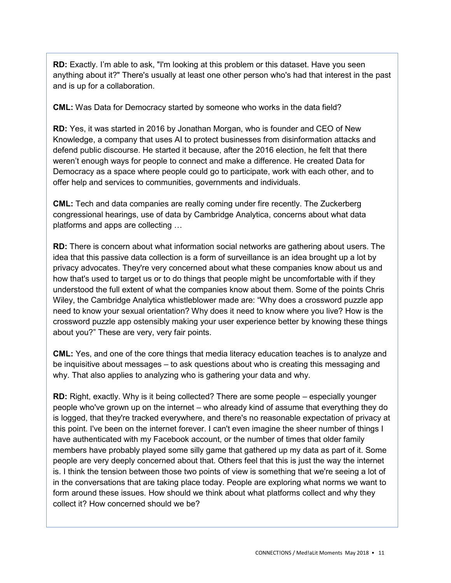**RD:** Exactly. I'm able to ask, "I'm looking at this problem or this dataset. Have you seen anything about it?" There's usually at least one other person who's had that interest in the past and is up for a collaboration.

**CML:** Was Data for Democracy started by someone who works in the data field?

**RD:** Yes, it was started in 2016 by Jonathan Morgan, who is founder and CEO of [New](https://newknowledge.io/)  [Knowledge,](https://newknowledge.io/) a company that uses AI to protect businesses from disinformation attacks and defend public discourse. He started it because, after the 2016 election, he felt that there weren't enough ways for people to connect and make a difference. He created Data for Democracy as a space where people could go to participate, work with each other, and to offer help and services to communities, governments and individuals.

**CML:** Tech and data companies are really coming under fire recently. The Zuckerberg congressional hearings, use of data by Cambridge Analytica, concerns about what data platforms and apps are collecting …

**RD:** There is concern about what information social networks are gathering about users. The idea that this passive data collection is a form of surveillance is an idea brought up a lot by privacy advocates. They're very concerned about what these companies know about us and how that's used to target us or to do things that people might be uncomfortable with if they understood the full extent of what the companies know about them. Some of the points Chris Wiley, the Cambridge Analytica whistleblower made are: "Why does a crossword puzzle app need to know your sexual orientation? Why does it need to know where you live? How is the crossword puzzle app ostensibly making your user experience better by knowing these things about you?" These are very, very fair points.

**CML:** Yes, and one of the core things that media literacy education teaches is to analyze and be inquisitive about messages – to ask questions about who is creating this messaging and why. That also applies to analyzing who is gathering your data and why.

**RD:** Right, exactly. Why is it being collected? There are some people – especially younger people who've grown up on the internet – who already kind of assume that everything they do is logged, that they're tracked everywhere, and there's no reasonable expectation of privacy at this point. I've been on the internet forever. I can't even imagine the sheer number of things I have authenticated with my Facebook account, or the number of times that older family members have probably played some silly game that gathered up my data as part of it. Some people are very deeply concerned about that. Others feel that this is just the way the internet is. I think the tension between those two points of view is something that we're seeing a lot of in the conversations that are taking place today. People are exploring what norms we want to form around these issues. How should we think about what platforms collect and why they collect it? How concerned should we be?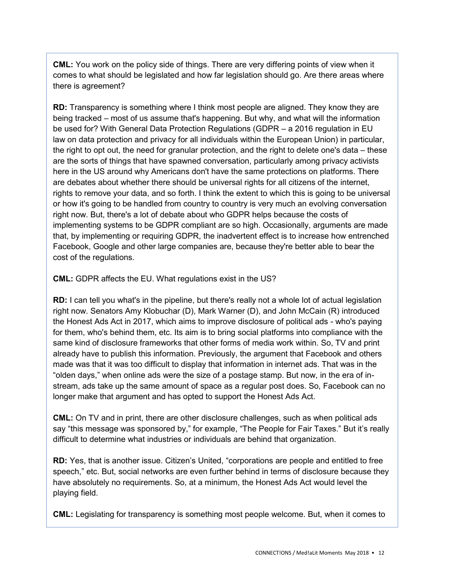**CML:** You work on the policy side of things. There are very differing points of view when it comes to what should be legislated and how far legislation should go. Are there areas where there is agreement?

**RD:** Transparency is something where I think most people are aligned. They know they are being tracked – most of us assume that's happening. But why, and what will the information be used for? With General Data Protection Regulations (GDPR – a 2016 [regulation](https://en.wikipedia.org/wiki/Regulation_(European_Union)) in [EU](https://en.wikipedia.org/wiki/EU_law)  [law](https://en.wikipedia.org/wiki/EU_law) on [data protection](https://en.wikipedia.org/wiki/Data_protection) and privacy for all individuals within the [European Union\)](https://en.wikipedia.org/wiki/European_Union) in particular, the right to opt out, the need for granular protection, and the right to delete one's data – these are the sorts of things that have spawned conversation, particularly among privacy activists here in the US around why Americans don't have the same protections on platforms. There are debates about whether there should be universal rights for all citizens of the internet, rights to remove your data, and so forth. I think the extent to which this is going to be universal or how it's going to be handled from country to country is very much an evolving conversation right now. But, there's a lot of debate about who GDPR helps because the costs of implementing systems to be GDPR compliant are so high. Occasionally, arguments are made that, by implementing or requiring GDPR, the inadvertent effect is to increase how entrenched Facebook, Google and other large companies are, because they're better able to bear the cost of the regulations.

**CML:** GDPR affects the EU. What regulations exist in the US?

**RD:** I can tell you what's in the pipeline, but there's really not a whole lot of actual legislation right now. Senators [Amy Klobuchar \(D\),](https://en.wikipedia.org/wiki/Amy_Klobuchar) [Mark Warner \(D\),](https://en.wikipedia.org/wiki/Mark_Warner) and [John McCain \(R\)](https://en.wikipedia.org/wiki/John_McCain) introduced the Honest Ads Act in 2017, which aims to improve disclosure of political ads - who's paying for them, who's behind them, etc. Its aim is to bring social platforms into compliance with the same kind of disclosure frameworks that other forms of media work within. So, TV and print already have to publish this information. Previously, the argument that Facebook and others made was that it was too difficult to display that information in internet ads. That was in the "olden days," when online ads were the size of a postage stamp. But now, in the era of instream, ads take up the same amount of space as a regular post does. So, Facebook can no longer make that argument and has opted to support the Honest Ads Act.

**CML:** On TV and in print, there are other disclosure challenges, such as when political ads say "this message was sponsored by," for example, "The People for Fair Taxes." But it's really difficult to determine what industries or individuals are behind that organization.

**RD:** Yes, that is another issue. Citizen's United, "corporations are people and entitled to free speech," etc. But, social networks are even further behind in terms of disclosure because they have absolutely no requirements. So, at a minimum, the Honest Ads Act would level the playing field.

**CML:** Legislating for transparency is something most people welcome. But, when it comes to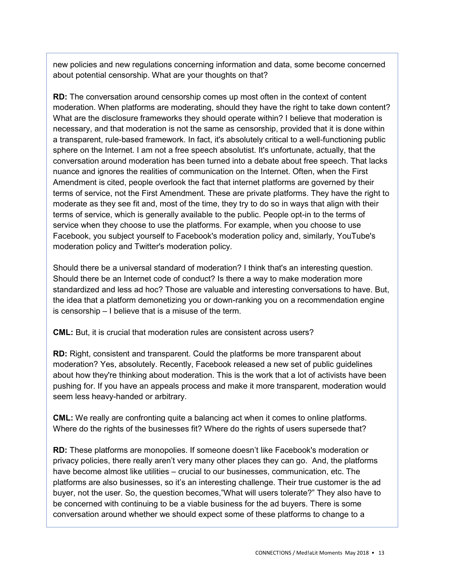new policies and new regulations concerning information and data, some become concerned about potential censorship. What are your thoughts on that?

**RD:** The conversation around censorship comes up most often in the context of content moderation. When platforms are moderating, should they have the right to take down content? What are the disclosure frameworks they should operate within? I believe that moderation is necessary, and that moderation is not the same as censorship, provided that it is done within a transparent, rule-based framework. In fact, it's absolutely critical to a well-functioning public sphere on the Internet. I am not a free speech absolutist. It's unfortunate, actually, that the conversation around moderation has been turned into a debate about free speech. That lacks nuance and ignores the realities of communication on the Internet. Often, when the First Amendment is cited, people overlook the fact that internet platforms are governed by their terms of service, not the First Amendment. These are private platforms. They have the right to moderate as they see fit and, most of the time, they try to do so in ways that align with their terms of service, which is generally available to the public. People opt-in to the terms of service when they choose to use the platforms. For example, when you choose to use Facebook, you subject yourself to Facebook's moderation policy and, similarly, YouTube's moderation policy and Twitter's moderation policy.

Should there be a universal standard of moderation? I think that's an interesting question. Should there be an Internet code of conduct? Is there a way to make moderation more standardized and less ad hoc? Those are valuable and interesting conversations to have. But, the idea that a platform demonetizing you or down-ranking you on a recommendation engine is censorship – I believe that is a misuse of the term.

**CML:** But, it is crucial that moderation rules are consistent across users?

**RD:** Right, consistent and transparent. Could the platforms be more transparent about moderation? Yes, absolutely. Recently, Facebook released a new set of public guidelines about how they're thinking about moderation. This is the work that a lot of activists have been pushing for. If you have an appeals process and make it more transparent, moderation would seem less heavy-handed or arbitrary.

**CML:** We really are confronting quite a balancing act when it comes to online platforms. Where do the rights of the businesses fit? Where do the rights of users supersede that?

**RD:** These platforms are monopolies. If someone doesn't like Facebook's moderation or privacy policies, there really aren't very many other places they can go. And, the platforms have become almost like utilities – crucial to our businesses, communication, etc. The platforms are also businesses, so it's an interesting challenge. Their true customer is the ad buyer, not the user. So, the question becomes,"What will users tolerate?" They also have to be concerned with continuing to be a viable business for the ad buyers. There is some conversation around whether we should expect some of these platforms to change to a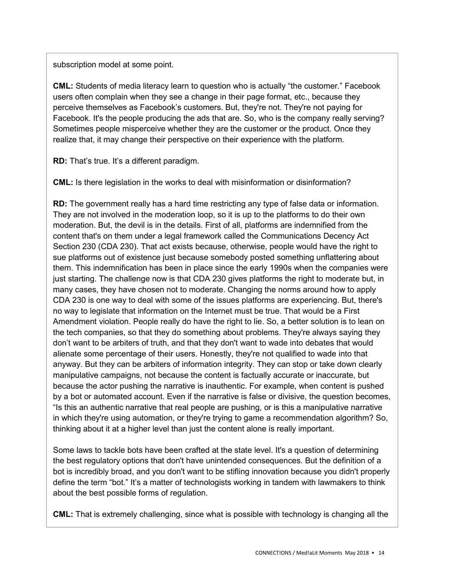subscription model at some point.

**CML:** Students of media literacy learn to question who is actually "the customer." Facebook users often complain when they see a change in their page format, etc., because they perceive themselves as Facebook's customers. But, they're not. They're not paying for Facebook. It's the people producing the ads that are. So, who is the company really serving? Sometimes people misperceive whether they are the customer or the product. Once they realize that, it may change their perspective on their experience with the platform.

**RD:** That's true. It's a different paradigm.

**CML:** Is there legislation in the works to deal with misinformation or disinformation?

**RD:** The government really has a hard time restricting any type of false data or information. They are not involved in the moderation loop, so it is up to the platforms to do their own moderation. But, the devil is in the details. First of all, platforms are indemnified from the content that's on them under a legal framework called the Communications Decency Act Section 230 (CDA 230). That act exists because, otherwise, people would have the right to sue platforms out of existence just because somebody posted something unflattering about them. This indemnification has been in place since the early 1990s when the companies were just starting. The challenge now is that CDA 230 gives platforms the right to moderate but, in many cases, they have chosen not to moderate. Changing the norms around how to apply CDA 230 is one way to deal with some of the issues platforms are experiencing. But, there's no way to legislate that information on the Internet must be true. That would be a First Amendment violation. People really do have the right to lie. So, a better solution is to lean on the tech companies, so that they do something about problems. They're always saying they don't want to be arbiters of truth, and that they don't want to wade into debates that would alienate some percentage of their users. Honestly, they're not qualified to wade into that anyway. But they can be arbiters of information integrity. They can stop or take down clearly manipulative campaigns, not because the content is factually accurate or inaccurate, but because the actor pushing the narrative is inauthentic. For example, when content is pushed by a bot or automated account. Even if the narrative is false or divisive, the question becomes, "Is this an authentic narrative that real people are pushing, or is this a manipulative narrative in which they're using automation, or they're trying to game a recommendation algorithm? So, thinking about it at a higher level than just the content alone is really important.

Some laws to tackle bots have been crafted at the state level. It's a question of determining the best regulatory options that don't have unintended consequences. But the definition of a bot is incredibly broad, and you don't want to be stifling innovation because you didn't properly define the term "bot." It's a matter of technologists working in tandem with lawmakers to think about the best possible forms of regulation.

**CML:** That is extremely challenging, since what is possible with technology is changing all the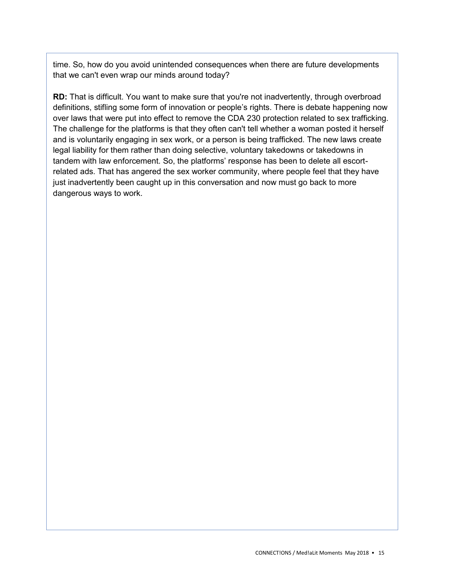time. So, how do you avoid unintended consequences when there are future developments that we can't even wrap our minds around today?

**RD:** That is difficult. You want to make sure that you're not inadvertently, through overbroad definitions, stifling some form of innovation or people's rights. There is debate happening now over laws that were put into effect to remove the CDA 230 protection related to sex trafficking. The challenge for the platforms is that they often can't tell whether a woman posted it herself and is voluntarily engaging in sex work, or a person is being trafficked. The new laws create legal liability for them rather than doing selective, voluntary takedowns or takedowns in tandem with law enforcement. So, the platforms' response has been to delete all escortrelated ads. That has angered the sex worker community, where people feel that they have just inadvertently been caught up in this conversation and now must go back to more dangerous ways to work.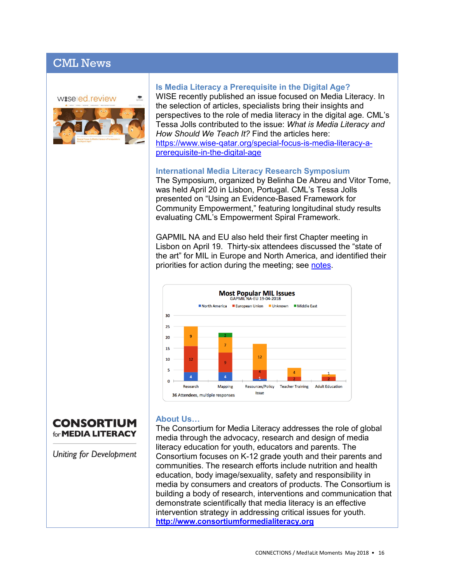## CML News

waseled.review



#### **Is Media Literacy a Prerequisite in the Digital Age?**

WISE recently published an issue focused on Media Literacy. In the selection of articles, specialists bring their insights and perspectives to the role of media literacy in the digital age. CML's Tessa Jolls contributed to the issue: *What is Media Literacy and How Should We Teach It?* Find the articles here: [https://www.wise-qatar.org/special-focus-is-media-literacy-a](https://www.wise-qatar.org/special-focus-is-media-literacy-a-prerequisite-in-the-digital-age)[prerequisite-in-the-digital-age](https://www.wise-qatar.org/special-focus-is-media-literacy-a-prerequisite-in-the-digital-age)

#### **International Media Literacy Research Symposium**

The Symposium, organized by Belinha De Abreu and Vitor Tome, was held April 20 in Lisbon, Portugal. CML's Tessa Jolls presented on "Using an Evidence-Based Framework for Community Empowerment," featuring longitudinal study results evaluating CML's Empowerment Spiral Framework.

GAPMIL NA and EU also held their first Chapter meeting in Lisbon on April 19. Thirty-six attendees discussed the "state of the art" for MIL in Europe and North America, and identified their priorities for action during the meeting; see [notes.](http://www.medialit.org/sites/default/files/GAPMIL%20EU-NAm%20meeting%20notes%2019-4-18.pdf)



## **CONSORTIUM** for **MEDIA LITERACY**

Uniting for Development

#### **About Us…**

The Consortium for Media Literacy addresses the role of global media through the advocacy, research and design of media literacy education for youth, educators and parents. The Consortium focuses on K-12 grade youth and their parents and communities. The research efforts include nutrition and health education, body image/sexuality, safety and responsibility in media by consumers and creators of products. The Consortium is building a body of research, interventions and communication that demonstrate scientifically that media literacy is an effective intervention strategy in addressing critical issues for youth. **[http://www.consortiumformedialiteracy.org](http://www.consortiumformedialiteracy.org/)**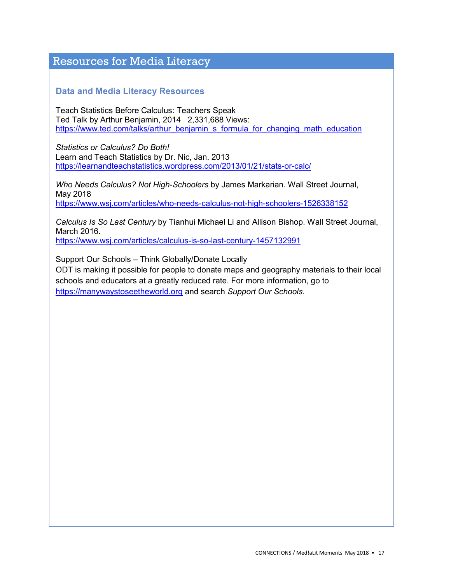## Resources for Media Literacy

#### **Data and Media Literacy Resources**

Teach Statistics Before Calculus: Teachers Speak Ted Talk by Arthur Benjamin, 2014 2,331,688 Views: [https://www.ted.com/talks/arthur\\_benjamin\\_s\\_formula\\_for\\_changing\\_math\\_education](https://www.ted.com/talks/arthur_benjamin_s_formula_for_changing_math_education)

*Statistics or Calculus? Do Both!* Learn and Teach Statistics by Dr. Nic, Jan. 2013 <https://learnandteachstatistics.wordpress.com/2013/01/21/stats-or-calc/>

*Who Needs Calculus? Not High-Schoolers* by James Markarian. Wall Street Journal, May 2018 <https://www.wsj.com/articles/who-needs-calculus-not-high-schoolers-1526338152>

*Calculus Is So Last Century* by Tianhui Michael Li and Allison Bishop. Wall Street Journal, March 2016.

<https://www.wsj.com/articles/calculus-is-so-last-century-1457132991>

Support Our Schools – Think Globally/Donate Locally

ODT is making it possible for people to donate maps and geography materials to their local schools and educators at a greatly reduced rate. For more information, go to [https://manywaystoseetheworld.org](https://manywaystoseetheworld.org/) and search *Support Our Schools.*